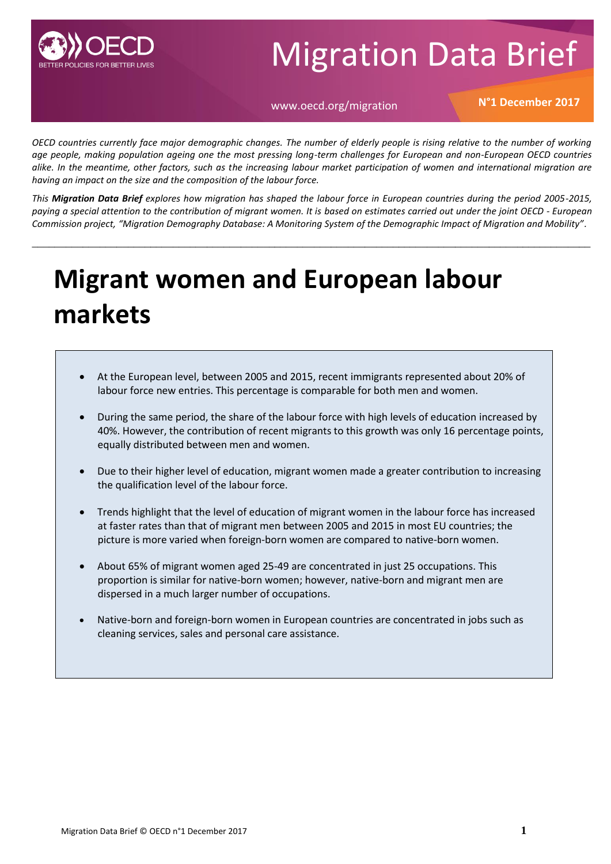

# Migration Data Brief

### www.oecd.org/migration **N°1 December 2017**

*OECD countries currently face major demographic changes. The number of elderly people is rising relative to the number of working age people, making population ageing one the most pressing long-term challenges for European and non-European OECD countries alike. In the meantime, other factors, such as the increasing labour market participation of women and international migration are having an impact on the size and the composition of the labour force.* 

*This Migration Data Brief explores how migration has shaped the labour force in European countries during the period 2005-2015, paying a special attention to the contribution of migrant women. It is based on estimates carried out under the joint OECD - European Commission project, "Migration Demography Database: A Monitoring System of the Demographic Impact of Migration and Mobility".* 

\_\_\_\_\_\_\_\_\_\_\_\_\_\_\_\_\_\_\_\_\_\_\_\_\_\_\_\_\_\_\_\_\_\_\_\_\_\_\_\_\_\_\_\_\_\_\_\_\_\_\_\_\_\_\_\_\_\_\_\_\_\_\_\_\_\_\_\_\_\_\_\_\_\_\_\_\_\_\_\_\_\_\_\_\_\_\_\_\_\_\_\_\_\_\_\_\_\_\_

# **Migrant women and European labour markets**

- At the European level, between 2005 and 2015, recent immigrants represented about 20% of labour force new entries. This percentage is comparable for both men and women.
- During the same period, the share of the labour force with high levels of education increased by 40%. However, the contribution of recent migrants to this growth was only 16 percentage points, equally distributed between men and women.
- Due to their higher level of education, migrant women made a greater contribution to increasing the qualification level of the labour force.
- Trends highlight that the level of education of migrant women in the labour force has increased at faster rates than that of migrant men between 2005 and 2015 in most EU countries; the picture is more varied when foreign-born women are compared to native-born women.
- About 65% of migrant women aged 25-49 are concentrated in just 25 occupations. This proportion is similar for native-born women; however, native-born and migrant men are dispersed in a much larger number of occupations.
- Native-born and foreign-born women in European countries are concentrated in jobs such as cleaning services, sales and personal care assistance.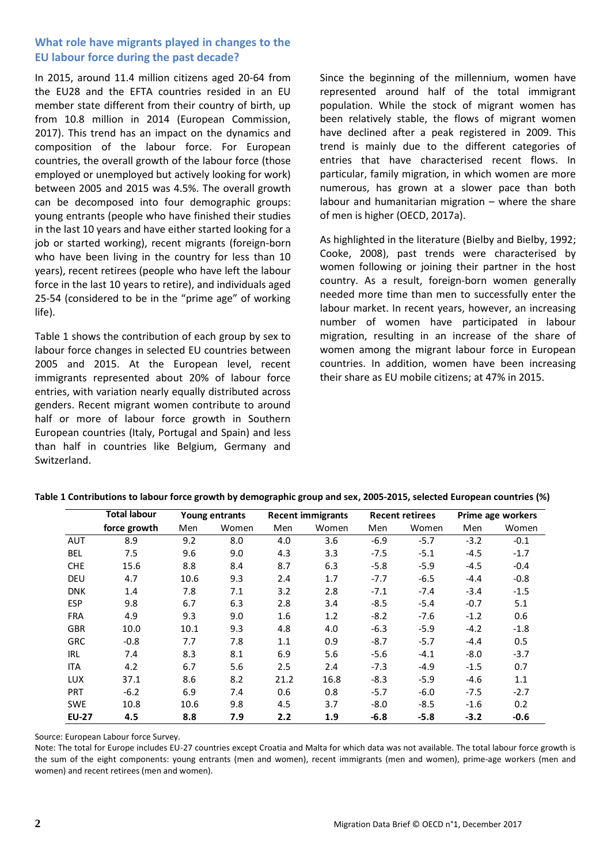#### **What role have migrants played in changes to the EU labour force during the past decade?**

In 2015, around 11.4 million citizens aged 20-64 from the EU28 and the EFTA countries resided in an EU member state different from their country of birth, up from 10.8 million in 2014 (European Commission, 2017). This trend has an impact on the dynamics and composition of the labour force. For European countries, the overall growth of the labour force (those employed or unemployed but actively looking for work) between 2005 and 2015 was 4.5%. The overall growth can be decomposed into four demographic groups: young entrants (people who have finished their studies in the last 10 years and have either started looking for a job or started working), recent migrants (foreign-born who have been living in the country for less than 10 years), recent retirees (people who have left the labour force in the last 10 years to retire), and individuals aged 25-54 (considered to be in the "prime age" of working life).

Table 1 shows the contribution of each group by sex to labour force changes in selected EU countries between 2005 and 2015. At the European level, recent immigrants represented about 20% of labour force entries, with variation nearly equally distributed across genders. Recent migrant women contribute to around half or more of labour force growth in Southern European countries (Italy, Portugal and Spain) and less than half in countries like Belgium, Germany and Switzerland.

Since the beginning of the millennium, women have represented around half of the total immigrant population. While the stock of migrant women has been relatively stable, the flows of migrant women have declined after a peak registered in 2009. This trend is mainly due to the different categories of entries that have characterised recent flows. In particular, family migration, in which women are more numerous, has grown at a slower pace than both labour and humanitarian migration – where the share of men is higher (OECD, 2017a).

As highlighted in the literature (Bielby and Bielby, 1992; Cooke, 2008), past trends were characterised by women following or joining their partner in the host country. As a result, foreign-born women generally needed more time than men to successfully enter the labour market. In recent years, however, an increasing number of women have participated in labour migration, resulting in an increase of the share of women among the migrant labour force in European countries. In addition, women have been increasing their share as EU mobile citizens; at 47% in 2015.

|              | <b>Total labour</b><br>Young entrants |      |       | <b>Recent immigrants</b> |       | <b>Recent retirees</b> |        | Prime age workers |        |
|--------------|---------------------------------------|------|-------|--------------------------|-------|------------------------|--------|-------------------|--------|
|              | force growth                          | Men  | Women | Men                      | Women | Men                    | Women  | Men               | Women  |
| <b>AUT</b>   | 8.9                                   | 9.2  | 8.0   | 4.0                      | 3.6   | $-6.9$                 | $-5.7$ | $-3.2$            | $-0.1$ |
| <b>BEL</b>   | 7.5                                   | 9.6  | 9.0   | 4.3                      | 3.3   | $-7.5$                 | $-5.1$ | $-4.5$            | $-1.7$ |
| <b>CHE</b>   | 15.6                                  | 8.8  | 8.4   | 8.7                      | 6.3   | $-5.8$                 | $-5.9$ | $-4.5$            | $-0.4$ |
| <b>DEU</b>   | 4.7                                   | 10.6 | 9.3   | 2.4                      | 1.7   | $-7.7$                 | $-6.5$ | $-4.4$            | $-0.8$ |
| <b>DNK</b>   | 1.4                                   | 7.8  | 7.1   | 3.2                      | 2.8   | $-7.1$                 | $-7.4$ | $-3.4$            | $-1.5$ |
| ESP          | 9.8                                   | 6.7  | 6.3   | 2.8                      | 3.4   | $-8.5$                 | $-5.4$ | $-0.7$            | 5.1    |
| <b>FRA</b>   | 4.9                                   | 9.3  | 9.0   | 1.6                      | 1.2   | $-8.2$                 | $-7.6$ | $-1.2$            | 0.6    |
| <b>GBR</b>   | 10.0                                  | 10.1 | 9.3   | 4.8                      | 4.0   | $-6.3$                 | $-5.9$ | $-4.2$            | $-1.8$ |
| <b>GRC</b>   | $-0.8$                                | 7.7  | 7.8   | 1.1                      | 0.9   | $-8.7$                 | $-5.7$ | $-4.4$            | 0.5    |
| IRL          | 7.4                                   | 8.3  | 8.1   | 6.9                      | 5.6   | $-5.6$                 | $-4.1$ | $-8.0$            | $-3.7$ |
| ITA          | 4.2                                   | 6.7  | 5.6   | 2.5                      | 2.4   | $-7.3$                 | $-4.9$ | $-1.5$            | 0.7    |
| LUX          | 37.1                                  | 8.6  | 8.2   | 21.2                     | 16.8  | $-8.3$                 | $-5.9$ | $-4.6$            | 1.1    |
| PRT          | $-6.2$                                | 6.9  | 7.4   | 0.6                      | 0.8   | $-5.7$                 | $-6.0$ | $-7.5$            | $-2.7$ |
| <b>SWE</b>   | 10.8                                  | 10.6 | 9.8   | 4.5                      | 3.7   | $-8.0$                 | $-8.5$ | $-1.6$            | 0.2    |
| <b>EU-27</b> | 4.5                                   | 8.8  | 7.9   | 2.2                      | 1.9   | $-6.8$                 | $-5.8$ | $-3.2$            | -0.6   |

**Table 1 Contributions to labour force growth by demographic group and sex, 2005-2015, selected European countries (%)**

Source: European Labour force Survey.

Note: The total for Europe includes EU-27 countries except Croatia and Malta for which data was not available. The total labour force growth is the sum of the eight components: young entrants (men and women), recent immigrants (men and women), prime-age workers (men and women) and recent retirees (men and women).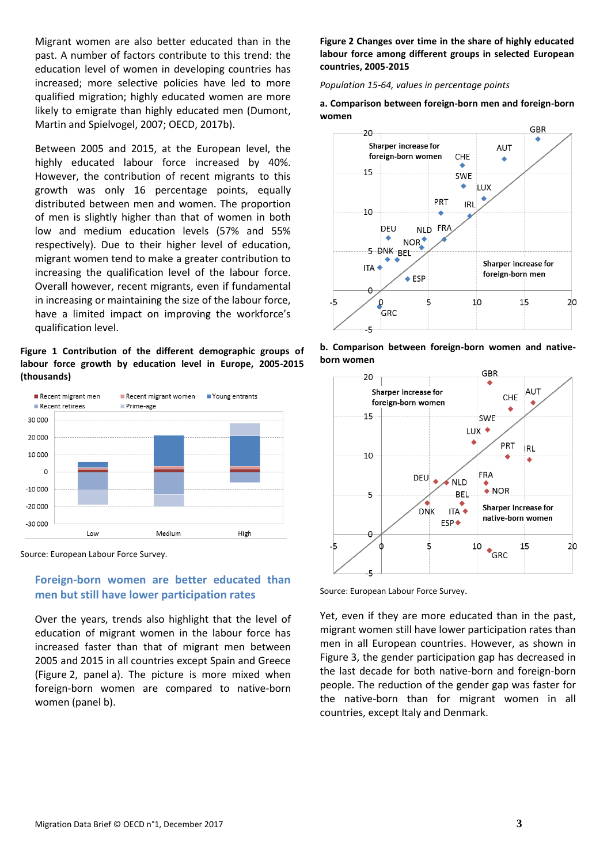Migrant women are also better educated than in the past. A number of factors contribute to this trend: the education level of women in developing countries has increased; more selective policies have led to more qualified migration; highly educated women are more likely to emigrate than highly educated men (Dumont, Martin and Spielvogel, 2007; OECD, 2017b).

Between 2005 and 2015, at the European level, the highly educated labour force increased by 40%. However, the contribution of recent migrants to this growth was only 16 percentage points, equally distributed between men and women. The proportion of men is slightly higher than that of women in both low and medium education levels (57% and 55% respectively). Due to their higher level of education, migrant women tend to make a greater contribution to increasing the qualification level of the labour force. Overall however, recent migrants, even if fundamental in increasing or maintaining the size of the labour force, have a limited impact on improving the workforce's qualification level.

**Figure 1 Contribution of the different demographic groups of labour force growth by education level in Europe, 2005-2015 (thousands)**



Source: European Labour Force Survey.

#### **Foreign-born women are better educated than men but still have lower participation rates**

Over the years, trends also highlight that the level of education of migrant women in the labour force has increased faster than that of migrant men between 2005 and 2015 in all countries except Spain and Greece (Figure 2, panel a). The picture is more mixed when foreign-born women are compared to native-born women (panel b).

**Figure 2 Changes over time in the share of highly educated labour force among different groups in selected European countries, 2005-2015**

*Population 15-64, values in percentage points*

#### **a. Comparison between foreign-born men and foreign-born women**



**b. Comparison between foreign-born women and nativeborn women**



Source: European Labour Force Survey.

Yet, even if they are more educated than in the past, migrant women still have lower participation rates than men in all European countries. However, as shown in Figure 3, the gender participation gap has decreased in the last decade for both native-born and foreign-born people. The reduction of the gender gap was faster for the native-born than for migrant women in all countries, except Italy and Denmark.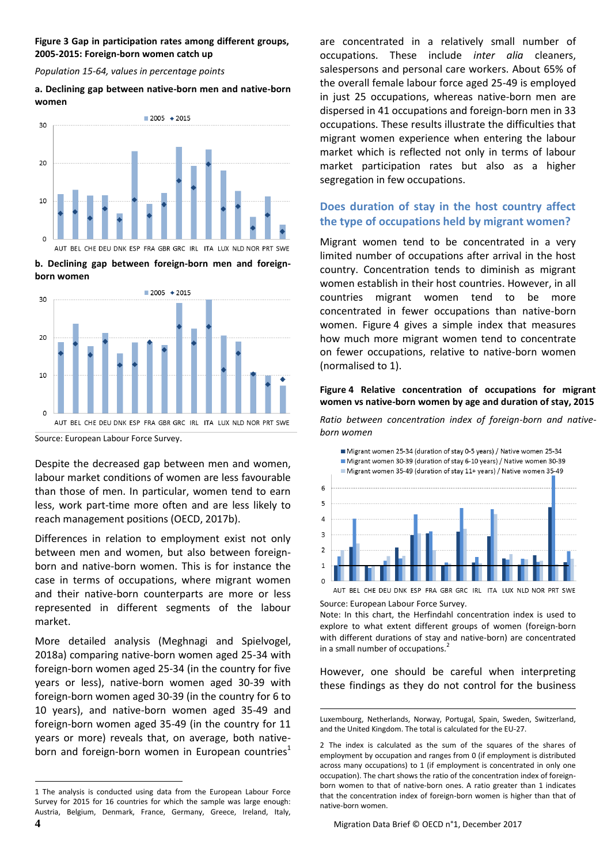#### **Figure 3 Gap in participation rates among different groups, 2005-2015: Foreign-born women catch up**

*Population 15-64, values in percentage points*

#### **a. Declining gap between native-born men and native-born women**



**b. Declining gap between foreign-born men and foreignborn women**



Source: European Labour Force Survey.

Despite the decreased gap between men and women, labour market conditions of women are less favourable than those of men. In particular, women tend to earn less, work part-time more often and are less likely to reach management positions (OECD, 2017b).

Differences in relation to employment exist not only between men and women, but also between foreignborn and native-born women. This is for instance the case in terms of occupations, where migrant women and their native-born counterparts are more or less represented in different segments of the labour market.

More detailed analysis (Meghnagi and Spielvogel, 2018a) comparing native-born women aged 25-34 with foreign-born women aged 25-34 (in the country for five years or less), native-born women aged 30-39 with foreign-born women aged 30-39 (in the country for 6 to 10 years), and native-born women aged 35-49 and foreign-born women aged 35-49 (in the country for 11 years or more) reveals that, on average, both nativeborn and foreign-born women in European countries<sup>1</sup> are concentrated in a relatively small number of occupations. These include *inter alia* cleaners, salespersons and personal care workers. About 65% of the overall female labour force aged 25-49 is employed in just 25 occupations, whereas native-born men are dispersed in 41 occupations and foreign-born men in 33 occupations. These results illustrate the difficulties that migrant women experience when entering the labour market which is reflected not only in terms of labour market participation rates but also as a higher segregation in few occupations.

## **Does duration of stay in the host country affect the type of occupations held by migrant women?**

Migrant women tend to be concentrated in a very limited number of occupations after arrival in the host country. Concentration tends to diminish as migrant women establish in their host countries. However, in all countries migrant women tend to be more concentrated in fewer occupations than native-born women. Figure 4 gives a simple index that measures how much more migrant women tend to concentrate on fewer occupations, relative to native-born women (normalised to 1).

#### **Figure 4 Relative concentration of occupations for migrant women vs native-born women by age and duration of stay, 2015**

*Ratio between concentration index of foreign-born and nativeborn women* 



Source: European Labour Force Survey. Note: In this chart, the Herfindahl concentration index is used to explore to what extent different groups of women (foreign-born with different durations of stay and native-born) are concentrated in a small number of occupations.<sup>2</sup>

However, one should be careful when interpreting these findings as they do not control for the business

l

**<sup>4</sup>** Migration Data Brief © OECD n°1, December 2017 1 The analysis is conducted using data from the European Labour Force Survey for 2015 for 16 countries for which the sample was large enough: Austria, Belgium, Denmark, France, Germany, Greece, Ireland, Italy,

<sup>1</sup> Luxembourg, Netherlands, Norway, Portugal, Spain, Sweden, Switzerland, and the United Kingdom. The total is calculated for the EU-27.

<sup>2</sup> The index is calculated as the sum of the squares of the shares of employment by occupation and ranges from 0 (if employment is distributed across many occupations) to 1 (if employment is concentrated in only one occupation). The chart shows the ratio of the concentration index of foreignborn women to that of native-born ones. A ratio greater than 1 indicates that the concentration index of foreign-born women is higher than that of native-born women.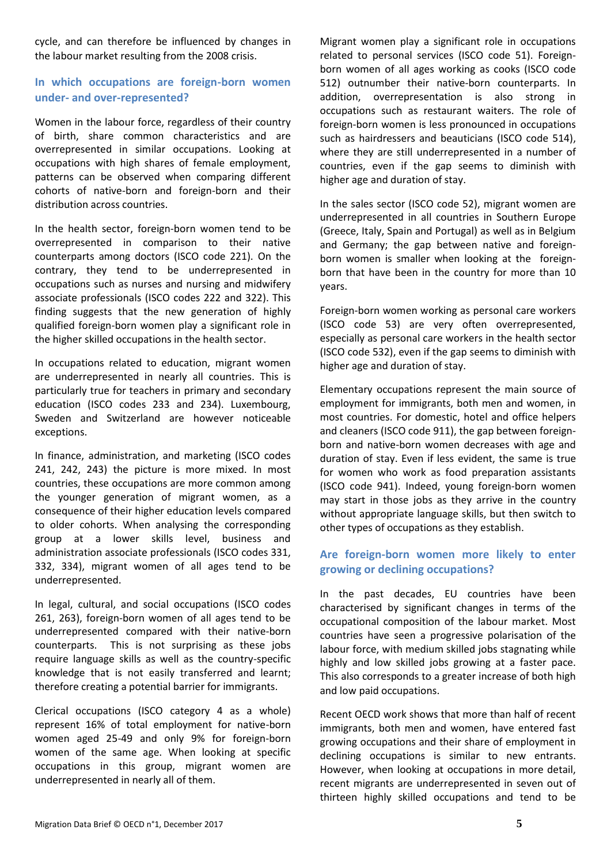cycle, and can therefore be influenced by changes in the labour market resulting from the 2008 crisis.

#### **In which occupations are foreign-born women under- and over-represented?**

Women in the labour force, regardless of their country of birth, share common characteristics and are overrepresented in similar occupations. Looking at occupations with high shares of female employment, patterns can be observed when comparing different cohorts of native-born and foreign-born and their distribution across countries.

In the health sector, foreign-born women tend to be overrepresented in comparison to their native counterparts among doctors (ISCO code 221). On the contrary, they tend to be underrepresented in occupations such as nurses and nursing and midwifery associate professionals (ISCO codes 222 and 322). This finding suggests that the new generation of highly qualified foreign-born women play a significant role in the higher skilled occupations in the health sector.

In occupations related to education, migrant women are underrepresented in nearly all countries. This is particularly true for teachers in primary and secondary education (ISCO codes 233 and 234). Luxembourg, Sweden and Switzerland are however noticeable exceptions.

In finance, administration, and marketing (ISCO codes 241, 242, 243) the picture is more mixed. In most countries, these occupations are more common among the younger generation of migrant women, as a consequence of their higher education levels compared to older cohorts. When analysing the corresponding group at a lower skills level, business and administration associate professionals (ISCO codes 331, 332, 334), migrant women of all ages tend to be underrepresented.

In legal, cultural, and social occupations (ISCO codes 261, 263), foreign-born women of all ages tend to be underrepresented compared with their native-born counterparts. This is not surprising as these jobs require language skills as well as the country-specific knowledge that is not easily transferred and learnt; therefore creating a potential barrier for immigrants.

Clerical occupations (ISCO category 4 as a whole) represent 16% of total employment for native-born women aged 25-49 and only 9% for foreign-born women of the same age. When looking at specific occupations in this group, migrant women are underrepresented in nearly all of them.

Migrant women play a significant role in occupations related to personal services (ISCO code 51). Foreignborn women of all ages working as cooks (ISCO code 512) outnumber their native-born counterparts. In addition, overrepresentation is also strong in occupations such as restaurant waiters. The role of foreign-born women is less pronounced in occupations such as hairdressers and beauticians (ISCO code 514), where they are still underrepresented in a number of countries, even if the gap seems to diminish with higher age and duration of stay.

In the sales sector (ISCO code 52), migrant women are underrepresented in all countries in Southern Europe (Greece, Italy, Spain and Portugal) as well as in Belgium and Germany; the gap between native and foreignborn women is smaller when looking at the foreignborn that have been in the country for more than 10 years.

Foreign-born women working as personal care workers (ISCO code 53) are very often overrepresented, especially as personal care workers in the health sector (ISCO code 532), even if the gap seems to diminish with higher age and duration of stay.

Elementary occupations represent the main source of employment for immigrants, both men and women, in most countries. For domestic, hotel and office helpers and cleaners (ISCO code 911), the gap between foreignborn and native-born women decreases with age and duration of stay. Even if less evident, the same is true for women who work as food preparation assistants (ISCO code 941). Indeed, young foreign-born women may start in those jobs as they arrive in the country without appropriate language skills, but then switch to other types of occupations as they establish.

### **Are foreign-born women more likely to enter growing or declining occupations?**

In the past decades, EU countries have been characterised by significant changes in terms of the occupational composition of the labour market. Most countries have seen a progressive polarisation of the labour force, with medium skilled jobs stagnating while highly and low skilled jobs growing at a faster pace. This also corresponds to a greater increase of both high and low paid occupations.

Recent OECD work shows that more than half of recent immigrants, both men and women, have entered fast growing occupations and their share of employment in declining occupations is similar to new entrants. However, when looking at occupations in more detail, recent migrants are underrepresented in seven out of thirteen highly skilled occupations and tend to be